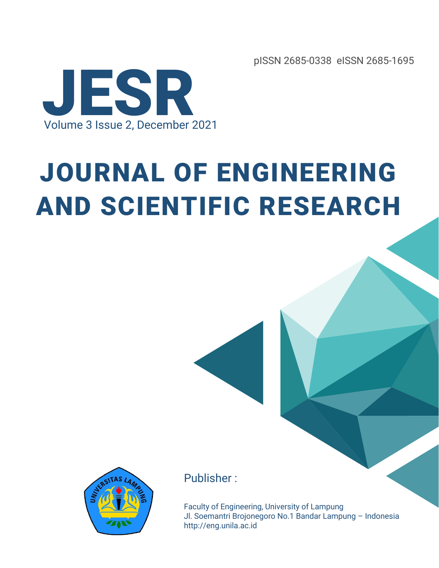pISSN 2685-0338 eISSN 2685-1695



# JOURNAL OF ENGINEERING AND SCIENTIFIC RESEARCH



#### Publisher :

Faculty of Engineering, University of Lampung Jl. Soemantri Brojonegoro No.1 Bandar Lampung – Indonesia http://eng.unila.ac.id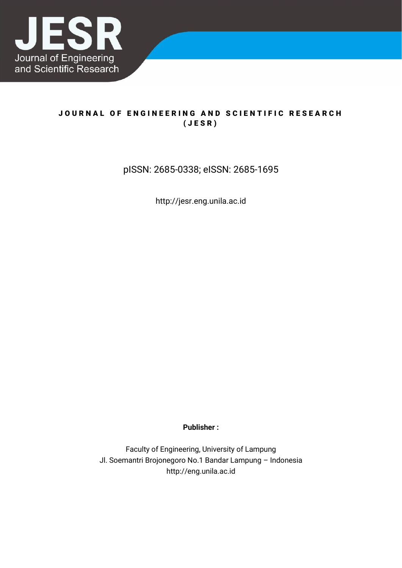

#### JOURNAL OF ENGINEERING AND SCIENTIFIC RESEARCH ( J E S R )

#### pISSN: 2685-0338; eISSN: 2685-1695

http://jesr.eng.unila.ac.id

**Publisher :**

Faculty of Engineering, University of Lampung Jl. Soemantri Brojonegoro No.1 Bandar Lampung – Indonesia http://eng.unila.ac.id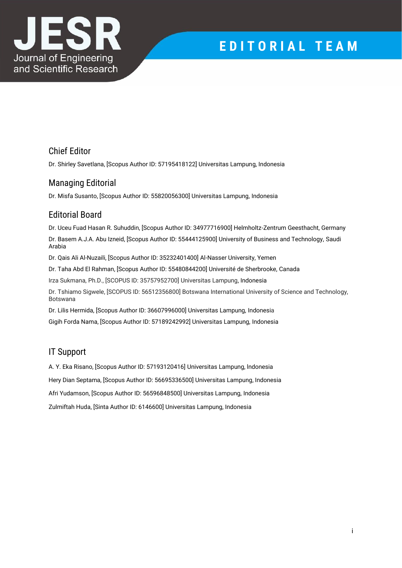

## **E D I T O R I A L T E A M**

#### Chief Editor

Dr. Shirley Savetlana, [Scopus Author ID: 57195418122] Universitas Lampung, Indonesia

#### Managing Editorial

Dr. Misfa Susanto, [Scopus Author ID: 55820056300] Universitas Lampung, Indonesia

#### Editorial Board

Dr. Uceu Fuad Hasan R. Suhuddin, [Scopus Author ID: 34977716900] Helmholtz-Zentrum Geesthacht, Germany Dr. Basem A.J.A. Abu Izneid, [Scopus Author ID: 55444125900] University of Business and Technology, Saudi Arabia

Dr. Qais Ali Al-Nuzaili, [Scopus Author ID: 35232401400] Al-Nasser University, Yemen

Dr. Taha Abd El Rahman, [Scopus Author ID: 55480844200] Université de Sherbrooke, Canada

Irza Sukmana, Ph.D., [SCOPUS ID: 35757952700] Universitas Lampung, Indonesia

Dr. Tshiamo Sigwele, [SCOPUS ID: 56512356800] Botswana International University of Science and Technology, Botswana

Dr. Lilis Hermida, [Scopus Author ID: 36607996000] Universitas Lampung, Indonesia Gigih Forda Nama, [Scopus Author ID: 57189242992] Universitas Lampung, Indonesia

#### IT Support

A. Y. Eka Risano, [Scopus Author ID: 57193120416] Universitas Lampung, lndonesia

Hery Dian Septama, [Scopus Author ID: 56695336500] Universitas Lampung, Indonesia

Afri Yudamson, [Scopus Author ID: 56596848500] Universitas Lampung, Indonesia

Zulmiftah Huda, [Sinta Author ID: 6146600] Universitas Lampung, Indonesia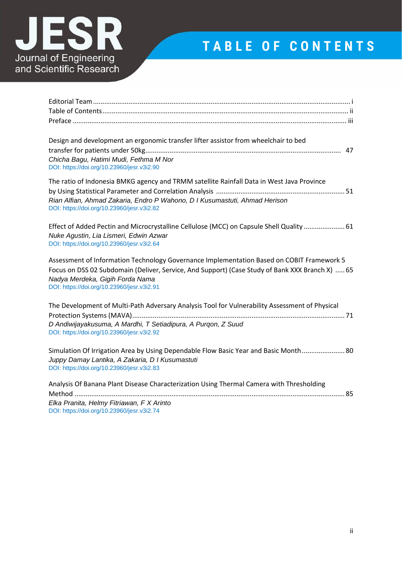

## **T A B L E O F C O N T E N T S**

| Design and development an ergonomic transfer lifter assistor from wheelchair to bed<br>Chicha Bagu, Hatimi Mudi, Fethma M Nor<br>DOI: https://doi.org/10.23960/jesr.v3i2.90                                                                                                   |
|-------------------------------------------------------------------------------------------------------------------------------------------------------------------------------------------------------------------------------------------------------------------------------|
| The ratio of Indonesia BMKG agency and TRMM satellite Rainfall Data in West Java Province<br>Rian Alfian, Ahmad Zakaria, Endro P Wahono, D I Kusumastuti, Ahmad Herison<br>DOI: https://doi.org/10.23960/jesr.v3i2.82                                                         |
| Effect of Added Pectin and Microcrystalline Cellulose (MCC) on Capsule Shell Quality  61<br>Nuke Agustin, Lia Lismeri, Edwin Azwar<br>DOI: https://doi.org/10.23960/jesr.v3i2.64                                                                                              |
| Assessment of Information Technology Governance Implementation Based on COBIT Framework 5<br>Focus on DSS 02 Subdomain (Deliver, Service, And Support) (Case Study of Bank XXX Branch X)  65<br>Nadya Merdeka, Gigih Forda Nama<br>DOI: https://doi.org/10.23960/jesr.v3i2.91 |
| The Development of Multi-Path Adversary Analysis Tool for Vulnerability Assessment of Physical<br>D Andiwijayakusuma, A Mardhi, T Setiadipura, A Purgon, Z Suud<br>DOI: https://doi.org/10.23960/jesr.v3i2.92                                                                 |
| Simulation Of Irrigation Area by Using Dependable Flow Basic Year and Basic Month 80<br>Juppy Damay Lantika, A Zakaria, D I Kusumastuti<br>DOI: https://doi.org/10.23960/jesr.v3i2.83                                                                                         |
| Analysis Of Banana Plant Disease Characterization Using Thermal Camera with Thresholding<br>Elka Pranita, Helmy Fitriawan, F X Arinto<br>DOI: https://doi.org/10.23960/jesr.v3i2.74                                                                                           |